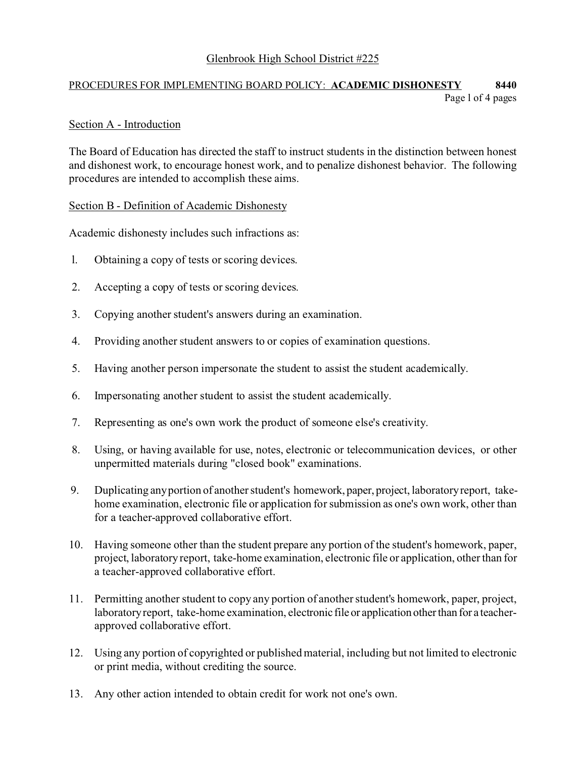# Glenbrook High School District #225

# PROCEDURES FOR IMPLEMENTING BOARD POLICY: **ACADEMIC DISHONESTY 8440** Page l of 4 pages

### Section A - Introduction

The Board of Education has directed the staff to instruct students in the distinction between honest and dishonest work, to encourage honest work, and to penalize dishonest behavior. The following procedures are intended to accomplish these aims.

### Section B - Definition of Academic Dishonesty

Academic dishonesty includes such infractions as:

- l. Obtaining a copy of tests or scoring devices.
- 2. Accepting a copy of tests or scoring devices.
- 3. Copying another student's answers during an examination.
- 4. Providing another student answers to or copies of examination questions.
- 5. Having another person impersonate the student to assist the student academically.
- 6. Impersonating another student to assist the student academically.
- 7. Representing as one's own work the product of someone else's creativity.
- 8. Using, or having available for use, notes, electronic or telecommunication devices, or other unpermitted materials during "closed book" examinations.
- 9. Duplicating any portion of another student's homework, paper, project, laboratory report, takehome examination, electronic file or application for submission as one's own work, other than for a teacher-approved collaborative effort.
- 10. Having someone other than the student prepare any portion of the student's homework, paper, project, laboratory report, take-home examination, electronic file or application, other than for a teacher-approved collaborative effort.
- 11. Permitting another student to copy any portion of another student's homework, paper, project, laboratory report, take-home examination, electronic file or application other than for a teacherapproved collaborative effort.
- 12. Using any portion of copyrighted or published material, including but not limited to electronic or print media, without crediting the source.
- 13. Any other action intended to obtain credit for work not one's own.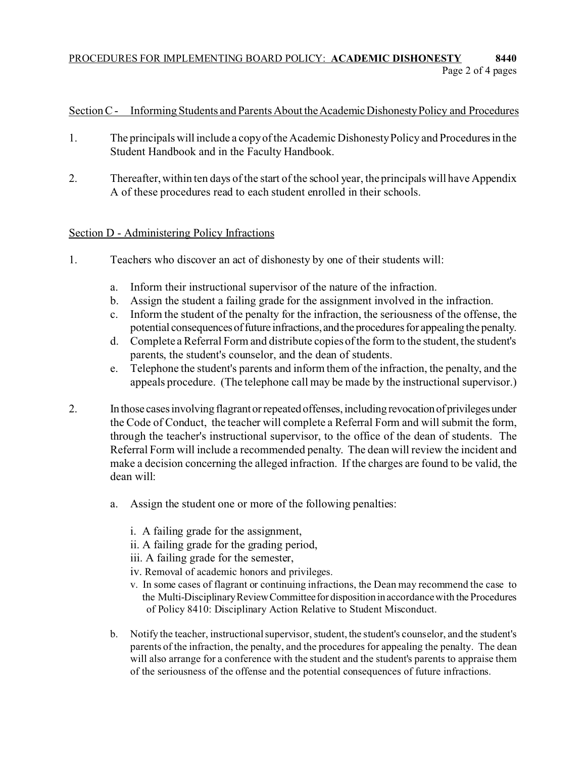# PROCEDURES FOR IMPLEMENTING BOARD POLICY: **ACADEMIC DISHONESTY 8440** Page 2 of 4 pages

# Section C - Informing Students and Parents About the Academic Dishonesty Policy and Procedures

- 1. The principals will include a copy of the Academic Dishonesty Policy and Procedures in the Student Handbook and in the Faculty Handbook.
- 2. Thereafter, within ten days of the start of the school year, the principals will have Appendix A of these procedures read to each student enrolled in their schools.

## Section D - Administering Policy Infractions

- 1. Teachers who discover an act of dishonesty by one of their students will:
	- a. Inform their instructional supervisor of the nature of the infraction.
	- b. Assign the student a failing grade for the assignment involved in the infraction.
	- c. Inform the student of the penalty for the infraction, the seriousness of the offense, the potential consequences of future infractions, and the procedures for appealing the penalty.
	- d. Complete a Referral Form and distribute copies of the form to the student, the student's parents, the student's counselor, and the dean of students.
	- e. Telephone the student's parents and inform them of the infraction, the penalty, and the appeals procedure. (The telephone call may be made by the instructional supervisor.)
- 2. In those cases involving flagrant or repeated offenses, including revocation of privileges under the Code of Conduct, the teacher will complete a Referral Form and will submit the form, through the teacher's instructional supervisor, to the office of the dean of students. The Referral Form will include a recommended penalty. The dean will review the incident and make a decision concerning the alleged infraction. If the charges are found to be valid, the dean will:
	- a. Assign the student one or more of the following penalties:
		- i. A failing grade for the assignment,
		- ii. A failing grade for the grading period,
		- iii. A failing grade for the semester,
		- iv. Removal of academic honors and privileges.
		- v. In some cases of flagrant or continuing infractions, the Dean may recommend the case to the Multi-DisciplinaryReviewCommitteefor dispositionin accordance with the Procedures of Policy 8410: Disciplinary Action Relative to Student Misconduct.
	- b. Notify the teacher, instructional supervisor, student, the student's counselor, and the student's parents of the infraction, the penalty, and the procedures for appealing the penalty. The dean will also arrange for a conference with the student and the student's parents to appraise them of the seriousness of the offense and the potential consequences of future infractions.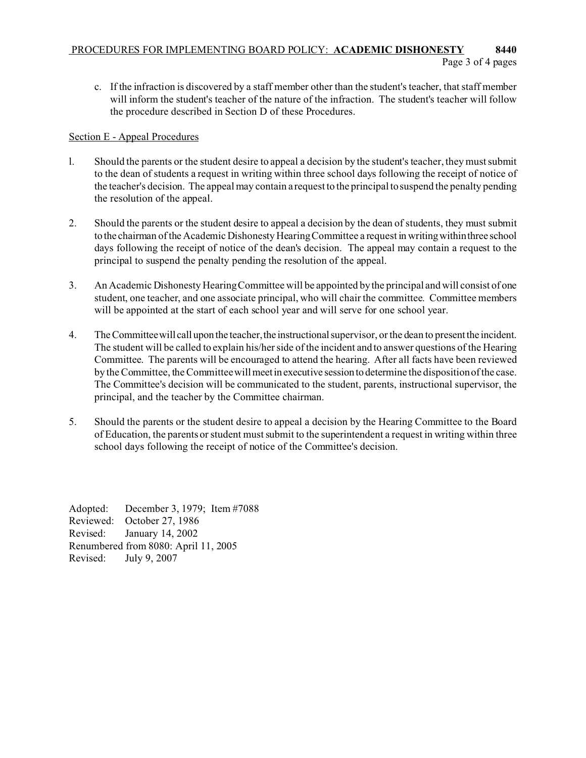## PROCEDURES FOR IMPLEMENTING BOARD POLICY: **ACADEMIC DISHONESTY 8440** Page 3 of 4 pages

c. If the infraction is discovered by a staff member other than the student's teacher, that staff member will inform the student's teacher of the nature of the infraction. The student's teacher will follow the procedure described in Section D of these Procedures.

## Section E - Appeal Procedures

- l. Should the parents or the student desire to appeal a decision by the student's teacher, they must submit to the dean of students a request in writing within three school days following the receipt of notice of the teacher's decision. The appeal may contain a request to the principal to suspend the penalty pending the resolution of the appeal.
- 2. Should the parents or the student desire to appeal a decision by the dean of students, they must submit to the chairman of the Academic Dishonesty Hearing Committee a request in writingwithinthree school days following the receipt of notice of the dean's decision. The appeal may contain a request to the principal to suspend the penalty pending the resolution of the appeal.
- 3. An Academic Dishonesty Hearing Committee will be appointed by the principal and will consist of one student, one teacher, and one associate principal, who will chair the committee. Committee members will be appointed at the start of each school year and will serve for one school year.
- 4. The Committee will call upon the teacher, the instructional supervisor, or the dean to present the incident. The student will be called to explain his/her side of the incident and to answer questions of the Hearing Committee. The parents will be encouraged to attend the hearing. After all facts have been reviewed by the Committee, the Committee will meetin executive session to determine the disposition of the case. The Committee's decision will be communicated to the student, parents, instructional supervisor, the principal, and the teacher by the Committee chairman.
- 5. Should the parents or the student desire to appeal a decision by the Hearing Committee to the Board of Education, the parents or student must submit to the superintendent a request in writing within three school days following the receipt of notice of the Committee's decision.

Adopted: December 3, 1979; Item #7088 Reviewed: October 27, 1986 Revised: January 14, 2002 Renumbered from 8080: April 11, 2005 Revised: July 9, 2007